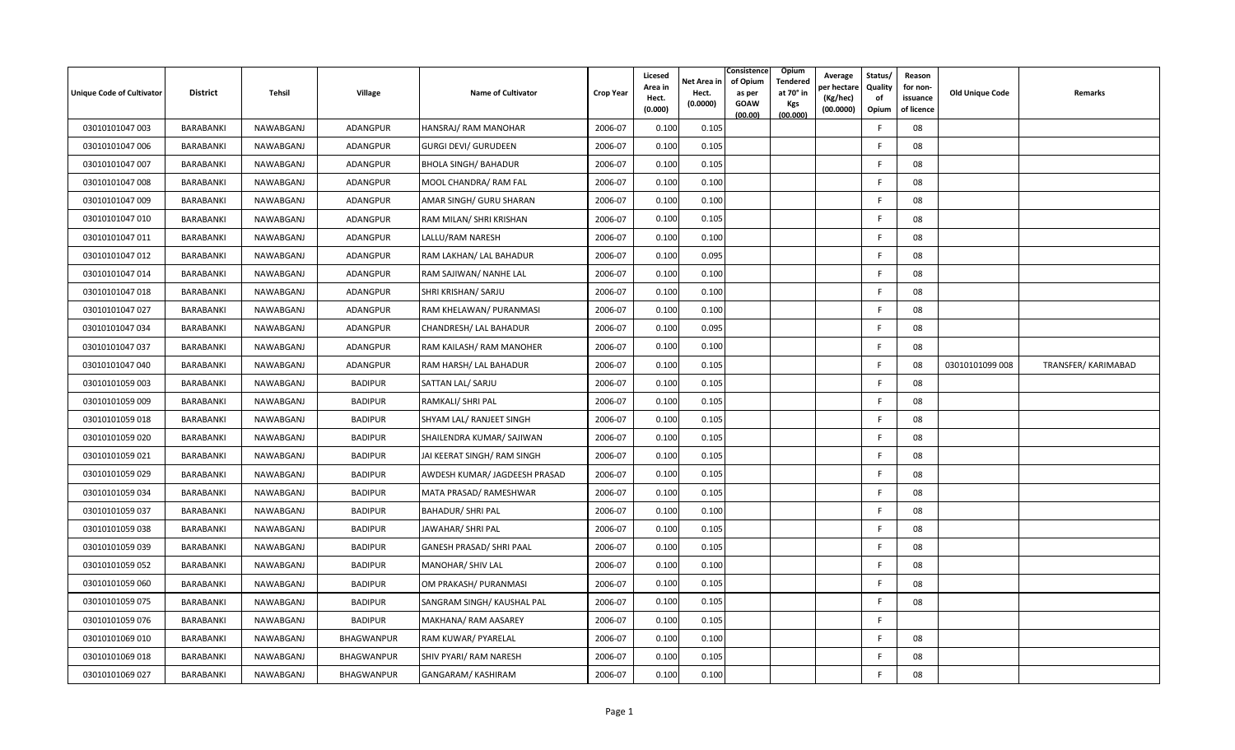| <b>Unique Code of Cultivator</b> | <b>District</b> | Tehsil           | Village           | <b>Name of Cultivator</b>       | <b>Crop Year</b> | Licesed<br>Area in<br>Hect.<br>(0.000) | Consistence<br>of Opium<br>Net Area in<br>Hect.<br>as per<br>(0.0000)<br><b>GOAW</b><br>(00.00) | Opium<br>Tendered<br>at 70° in<br><b>Kgs</b><br>(00.000) | Average<br>er hectare)<br>(Kg/hec)<br>(00.0000) | Status/<br>Quality<br>of<br>Opium | Reason<br>for non-<br>issuance<br>of licence | <b>Old Unique Code</b> | Remarks            |
|----------------------------------|-----------------|------------------|-------------------|---------------------------------|------------------|----------------------------------------|-------------------------------------------------------------------------------------------------|----------------------------------------------------------|-------------------------------------------------|-----------------------------------|----------------------------------------------|------------------------|--------------------|
| 03010101047 003                  | BARABANKI       | <b>NAWABGANJ</b> | <b>ADANGPUR</b>   | HANSRAJ/RAM MANOHAR             | 2006-07          | 0.100                                  | 0.105                                                                                           |                                                          |                                                 | E                                 | 08                                           |                        |                    |
| 03010101047 006                  | BARABANKI       | NAWABGANJ        | ADANGPUR          | <b>GURGI DEVI/ GURUDEEN</b>     | 2006-07          | 0.100                                  | 0.105                                                                                           |                                                          |                                                 | -F                                | 08                                           |                        |                    |
| 03010101047 007                  | BARABANKI       | NAWABGANJ        | ADANGPUR          | <b>BHOLA SINGH/ BAHADUR</b>     | 2006-07          | 0.100                                  | 0.105                                                                                           |                                                          |                                                 | E                                 | 08                                           |                        |                    |
| 03010101047 008                  | BARABANKI       | NAWABGANJ        | <b>ADANGPUR</b>   | MOOL CHANDRA/ RAM FAL           | 2006-07          | 0.100                                  | 0.100                                                                                           |                                                          |                                                 | F                                 | 08                                           |                        |                    |
| 03010101047 009                  | BARABANKI       | NAWABGANJ        | ADANGPUR          | AMAR SINGH/ GURU SHARAN         | 2006-07          | 0.100                                  | 0.100                                                                                           |                                                          |                                                 | F                                 | 08                                           |                        |                    |
| 03010101047 010                  | BARABANKI       | NAWABGANJ        | ADANGPUR          | RAM MILAN/ SHRI KRISHAN         | 2006-07          | 0.100                                  | 0.105                                                                                           |                                                          |                                                 | F                                 | 08                                           |                        |                    |
| 03010101047 011                  | BARABANKI       | NAWABGANJ        | ADANGPUR          | LALLU/RAM NARESH                | 2006-07          | 0.100                                  | 0.100                                                                                           |                                                          |                                                 | F.                                | 08                                           |                        |                    |
| 03010101047 012                  | BARABANKI       | NAWABGANJ        | ADANGPUR          | RAM LAKHAN/ LAL BAHADUR         | 2006-07          | 0.100                                  | 0.095                                                                                           |                                                          |                                                 | -F                                | 08                                           |                        |                    |
| 03010101047 014                  | BARABANKI       | NAWABGANJ        | ADANGPUR          | RAM SAJIWAN/ NANHE LAL          | 2006-07          | 0.100                                  | 0.100                                                                                           |                                                          |                                                 | E                                 | 08                                           |                        |                    |
| 03010101047 018                  | BARABANKI       | NAWABGANJ        | ADANGPUR          | SHRI KRISHAN/ SARJU             | 2006-07          | 0.100                                  | 0.100                                                                                           |                                                          |                                                 | F                                 | 08                                           |                        |                    |
| 03010101047 027                  | BARABANKI       | NAWABGANJ        | ADANGPUR          | RAM KHELAWAN/ PURANMASI         | 2006-07          | 0.100                                  | 0.100                                                                                           |                                                          |                                                 | -F                                | 08                                           |                        |                    |
| 03010101047 034                  | BARABANKI       | NAWABGANJ        | ADANGPUR          | CHANDRESH/ LAL BAHADUR          | 2006-07          | 0.100                                  | 0.095                                                                                           |                                                          |                                                 | E                                 | 08                                           |                        |                    |
| 03010101047 037                  | BARABANKI       | NAWABGANJ        | <b>ADANGPUR</b>   | RAM KAILASH/RAM MANOHER         | 2006-07          | 0.100                                  | 0.100                                                                                           |                                                          |                                                 | F                                 | 08                                           |                        |                    |
| 03010101047 040                  | BARABANKI       | NAWABGANJ        | ADANGPUR          | RAM HARSH/ LAL BAHADUR          | 2006-07          | 0.100                                  | 0.105                                                                                           |                                                          |                                                 | F.                                | 08                                           | 03010101099 008        | TRANSFER/KARIMABAD |
| 03010101059 003                  | BARABANKI       | NAWABGANJ        | <b>BADIPUR</b>    | SATTAN LAL/ SARJU               | 2006-07          | 0.100                                  | 0.105                                                                                           |                                                          |                                                 | E                                 | 08                                           |                        |                    |
| 03010101059 009                  | BARABANKI       | NAWABGANJ        | <b>BADIPUR</b>    | RAMKALI/ SHRI PAL               | 2006-07          | 0.100                                  | 0.105                                                                                           |                                                          |                                                 | E                                 | 08                                           |                        |                    |
| 03010101059 018                  | BARABANKI       | NAWABGANJ        | <b>BADIPUR</b>    | SHYAM LAL/ RANJEET SINGH        | 2006-07          | 0.100                                  | 0.105                                                                                           |                                                          |                                                 | F.                                | 08                                           |                        |                    |
| 03010101059 020                  | BARABANKI       | NAWABGANJ        | <b>BADIPUR</b>    | SHAILENDRA KUMAR/ SAJIWAN       | 2006-07          | 0.100                                  | 0.105                                                                                           |                                                          |                                                 | -F                                | 08                                           |                        |                    |
| 03010101059 021                  | BARABANKI       | NAWABGANJ        | <b>BADIPUR</b>    | JAI KEERAT SINGH/ RAM SINGH     | 2006-07          | 0.100                                  | 0.105                                                                                           |                                                          |                                                 | -F                                | 08                                           |                        |                    |
| 03010101059 029                  | BARABANKI       | NAWABGANJ        | <b>BADIPUR</b>    | AWDESH KUMAR/ JAGDEESH PRASAD   | 2006-07          | 0.100                                  | 0.105                                                                                           |                                                          |                                                 | F                                 | 08                                           |                        |                    |
| 03010101059 034                  | BARABANKI       | NAWABGANJ        | <b>BADIPUR</b>    | MATA PRASAD/ RAMESHWAR          | 2006-07          | 0.100                                  | 0.105                                                                                           |                                                          |                                                 | E                                 | 08                                           |                        |                    |
| 03010101059 037                  | BARABANKI       | NAWABGANJ        | <b>BADIPUR</b>    | <b>BAHADUR/ SHRI PAL</b>        | 2006-07          | 0.100                                  | 0.100                                                                                           |                                                          |                                                 | E                                 | 08                                           |                        |                    |
| 03010101059 038                  | BARABANKI       | NAWABGANJ        | <b>BADIPUR</b>    | JAWAHAR/ SHRI PAL               | 2006-07          | 0.100                                  | 0.105                                                                                           |                                                          |                                                 | E                                 | 08                                           |                        |                    |
| 03010101059 039                  | BARABANKI       | NAWABGANJ        | <b>BADIPUR</b>    | <b>GANESH PRASAD/ SHRI PAAL</b> | 2006-07          | 0.100                                  | 0.105                                                                                           |                                                          |                                                 | -F                                | 08                                           |                        |                    |
| 03010101059 052                  | BARABANKI       | NAWABGANJ        | <b>BADIPUR</b>    | MANOHAR/ SHIV LAL               | 2006-07          | 0.100                                  | 0.100                                                                                           |                                                          |                                                 | E                                 | 08                                           |                        |                    |
| 03010101059 060                  | BARABANKI       | NAWABGANJ        | <b>BADIPUR</b>    | OM PRAKASH/ PURANMASI           | 2006-07          | 0.100                                  | 0.105                                                                                           |                                                          |                                                 | E                                 | 08                                           |                        |                    |
| 03010101059 075                  | BARABANKI       | NAWABGANJ        | <b>BADIPUR</b>    | SANGRAM SINGH/ KAUSHAL PAL      | 2006-07          | 0.100                                  | 0.105                                                                                           |                                                          |                                                 | F                                 | 08                                           |                        |                    |
| 03010101059 076                  | BARABANKI       | NAWABGANJ        | <b>BADIPUR</b>    | MAKHANA/RAM AASAREY             | 2006-07          | 0.100                                  | 0.105                                                                                           |                                                          |                                                 | F.                                |                                              |                        |                    |
| 03010101069 010                  | BARABANKI       | NAWABGANJ        | <b>BHAGWANPUR</b> | RAM KUWAR/ PYARELAL             | 2006-07          | 0.100                                  | 0.100                                                                                           |                                                          |                                                 | -F                                | 08                                           |                        |                    |
| 03010101069 018                  | BARABANKI       | NAWABGANJ        | BHAGWANPUR        | SHIV PYARI/ RAM NARESH          | 2006-07          | 0.100                                  | 0.105                                                                                           |                                                          |                                                 | F                                 | 08                                           |                        |                    |
| 03010101069 027                  | BARABANKI       | NAWABGANJ        | BHAGWANPUR        | GANGARAM/ KASHIRAM              | 2006-07          | 0.100                                  | 0.100                                                                                           |                                                          |                                                 | F                                 | 08                                           |                        |                    |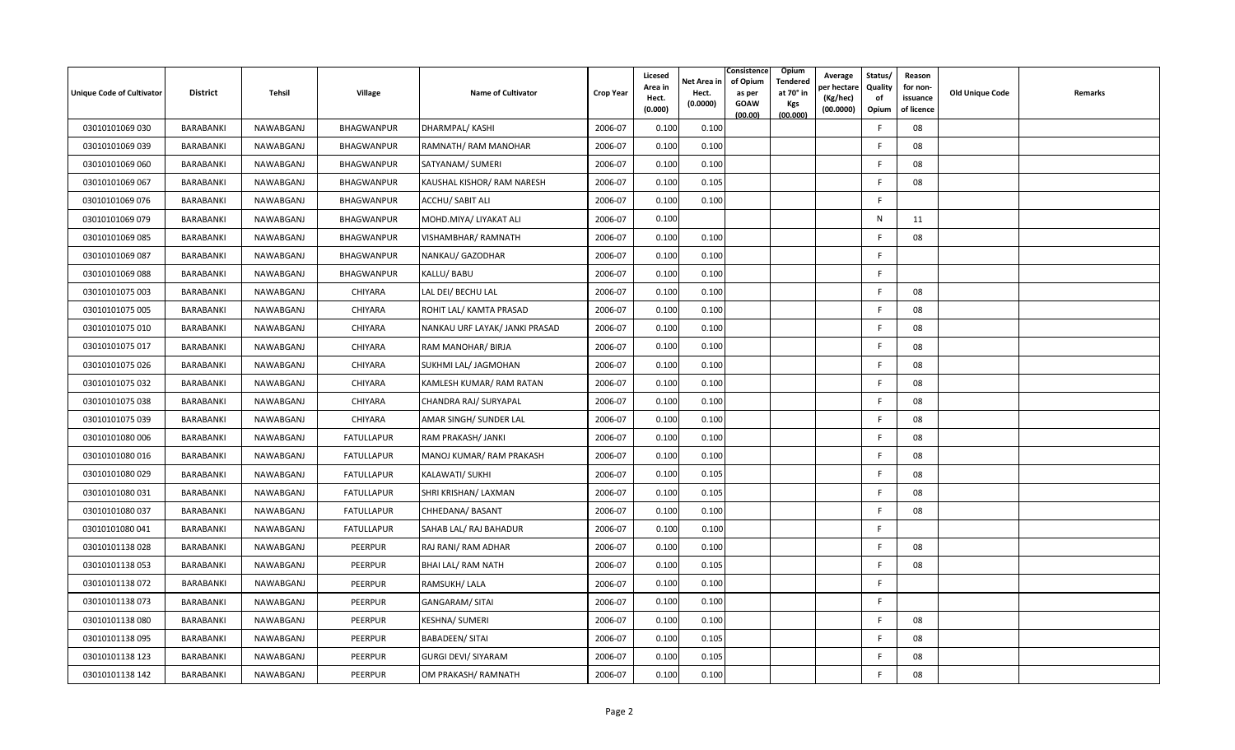| <b>Unique Code of Cultivator</b> | <b>District</b> | Tehsil    | Village           | Name of Cultivator             | <b>Crop Year</b> | Licesed<br>Area in<br>Hect.<br>(0.000) | Consistence<br>of Opium<br>Net Area in<br>Hect.<br>as per<br>(0.0000)<br><b>GOAW</b><br>(00.00) | Opium<br>Tendered<br>at 70° in<br><b>Kgs</b><br>(00.000) | Average<br>วer hectarง<br>(Kg/hec)<br>(00.0000) | Status/<br>Quality<br>of<br>Opium | Reason<br>for non-<br>issuance<br>of licence | <b>Old Unique Code</b> | Remarks |
|----------------------------------|-----------------|-----------|-------------------|--------------------------------|------------------|----------------------------------------|-------------------------------------------------------------------------------------------------|----------------------------------------------------------|-------------------------------------------------|-----------------------------------|----------------------------------------------|------------------------|---------|
| 03010101069 030                  | BARABANKI       | NAWABGANJ | BHAGWANPUR        | <b>DHARMPAL/ KASHI</b>         | 2006-07          | 0.100                                  | 0.100                                                                                           |                                                          |                                                 | E                                 | 08                                           |                        |         |
| 03010101069 039                  | BARABANKI       | NAWABGANJ | BHAGWANPUR        | RAMNATH/RAM MANOHAR            | 2006-07          | 0.100                                  | 0.100                                                                                           |                                                          |                                                 | -F                                | 08                                           |                        |         |
| 03010101069 060                  | BARABANKI       | NAWABGANJ | BHAGWANPUR        | SATYANAM/ SUMERI               | 2006-07          | 0.100                                  | 0.100                                                                                           |                                                          |                                                 | E                                 | 08                                           |                        |         |
| 03010101069 067                  | BARABANKI       | NAWABGANJ | <b>BHAGWANPUR</b> | KAUSHAL KISHOR/RAM NARESH      | 2006-07          | 0.100                                  | 0.105                                                                                           |                                                          |                                                 | -F                                | 08                                           |                        |         |
| 03010101069 076                  | BARABANKI       | NAWABGANJ | BHAGWANPUR        | ACCHU/ SABIT ALI               | 2006-07          | 0.100                                  | 0.100                                                                                           |                                                          |                                                 | F.                                |                                              |                        |         |
| 03010101069 079                  | BARABANKI       | NAWABGANJ | BHAGWANPUR        | MOHD.MIYA/ LIYAKAT ALI         | 2006-07          | 0.100                                  |                                                                                                 |                                                          |                                                 | N                                 | 11                                           |                        |         |
| 03010101069 085                  | BARABANKI       | NAWABGANJ | BHAGWANPUR        | VISHAMBHAR/ RAMNATH            | 2006-07          | 0.100                                  | 0.100                                                                                           |                                                          |                                                 | -F                                | 08                                           |                        |         |
| 03010101069 087                  | BARABANKI       | NAWABGANJ | BHAGWANPUR        | NANKAU/ GAZODHAR               | 2006-07          | 0.100                                  | 0.100                                                                                           |                                                          |                                                 | F.                                |                                              |                        |         |
| 03010101069088                   | BARABANKI       | NAWABGANJ | BHAGWANPUR        | KALLU/ BABU                    | 2006-07          | 0.100                                  | 0.100                                                                                           |                                                          |                                                 | F.                                |                                              |                        |         |
| 03010101075 003                  | BARABANKI       | NAWABGANJ | CHIYARA           | LAL DEI/ BECHU LAL             | 2006-07          | 0.100                                  | 0.100                                                                                           |                                                          |                                                 | F                                 | 08                                           |                        |         |
| 03010101075 005                  | BARABANKI       | NAWABGANJ | CHIYARA           | ROHIT LAL/ KAMTA PRASAD        | 2006-07          | 0.100                                  | 0.100                                                                                           |                                                          |                                                 | -F                                | 08                                           |                        |         |
| 03010101075 010                  | BARABANKI       | NAWABGANJ | CHIYARA           | NANKAU URF LAYAK/ JANKI PRASAD | 2006-07          | 0.100                                  | 0.100                                                                                           |                                                          |                                                 | F                                 | 08                                           |                        |         |
| 03010101075 017                  | BARABANKI       | NAWABGANJ | <b>CHIYARA</b>    | RAM MANOHAR/ BIRJA             | 2006-07          | 0.100                                  | 0.100                                                                                           |                                                          |                                                 | F.                                | 08                                           |                        |         |
| 03010101075 026                  | BARABANKI       | NAWABGANJ | CHIYARA           | SUKHMI LAL/ JAGMOHAN           | 2006-07          | 0.100                                  | 0.100                                                                                           |                                                          |                                                 | E                                 | 08                                           |                        |         |
| 03010101075 032                  | BARABANKI       | NAWABGANJ | CHIYARA           | KAMLESH KUMAR/ RAM RATAN       | 2006-07          | 0.100                                  | 0.100                                                                                           |                                                          |                                                 | E                                 | 08                                           |                        |         |
| 03010101075 038                  | BARABANKI       | NAWABGANJ | CHIYARA           | CHANDRA RAJ/ SURYAPAL          | 2006-07          | 0.100                                  | 0.100                                                                                           |                                                          |                                                 | E                                 | 08                                           |                        |         |
| 03010101075 039                  | BARABANKI       | NAWABGANJ | CHIYARA           | AMAR SINGH/ SUNDER LAL         | 2006-07          | 0.100                                  | 0.100                                                                                           |                                                          |                                                 | F.                                | 08                                           |                        |         |
| 03010101080 006                  | BARABANKI       | NAWABGANJ | <b>FATULLAPUR</b> | RAM PRAKASH/ JANKI             | 2006-07          | 0.100                                  | 0.100                                                                                           |                                                          |                                                 | -F                                | 08                                           |                        |         |
| 03010101080 016                  | BARABANKI       | NAWABGANJ | <b>FATULLAPUR</b> | MANOJ KUMAR/RAM PRAKASH        | 2006-07          | 0.100                                  | 0.100                                                                                           |                                                          |                                                 | -F                                | 08                                           |                        |         |
| 03010101080 029                  | BARABANKI       | NAWABGANJ | <b>FATULLAPUR</b> | KALAWATI/ SUKHI                | 2006-07          | 0.100                                  | 0.105                                                                                           |                                                          |                                                 | F                                 | 08                                           |                        |         |
| 03010101080 031                  | BARABANKI       | NAWABGANJ | <b>FATULLAPUR</b> | SHRI KRISHAN/ LAXMAN           | 2006-07          | 0.100                                  | 0.105                                                                                           |                                                          |                                                 | F                                 | 08                                           |                        |         |
| 03010101080 037                  | BARABANKI       | NAWABGANJ | <b>FATULLAPUR</b> | CHHEDANA/ BASANT               | 2006-07          | 0.100                                  | 0.100                                                                                           |                                                          |                                                 | F                                 | 08                                           |                        |         |
| 03010101080 041                  | BARABANKI       | NAWABGANJ | <b>FATULLAPUR</b> | SAHAB LAL/ RAJ BAHADUR         | 2006-07          | 0.100                                  | 0.100                                                                                           |                                                          |                                                 | -F                                |                                              |                        |         |
| 03010101138028                   | BARABANKI       | NAWABGANJ | PEERPUR           | RAJ RANI/ RAM ADHAR            | 2006-07          | 0.100                                  | 0.100                                                                                           |                                                          |                                                 | -F                                | 08                                           |                        |         |
| 03010101138053                   | BARABANKI       | NAWABGANJ | PEERPUR           | BHAI LAL/ RAM NATH             | 2006-07          | 0.100                                  | 0.105                                                                                           |                                                          |                                                 | E                                 | 08                                           |                        |         |
| 03010101138 072                  | BARABANKI       | NAWABGANJ | PEERPUR           | RAMSUKH/ LALA                  | 2006-07          | 0.100                                  | 0.100                                                                                           |                                                          |                                                 | F.                                |                                              |                        |         |
| 03010101138073                   | BARABANKI       | NAWABGANJ | PEERPUR           | GANGARAM/ SITAI                | 2006-07          | 0.100                                  | 0.100                                                                                           |                                                          |                                                 | F.                                |                                              |                        |         |
| 03010101138080                   | BARABANKI       | NAWABGANJ | PEERPUR           | KESHNA/ SUMERI                 | 2006-07          | 0.100                                  | 0.100                                                                                           |                                                          |                                                 | -F                                | 08                                           |                        |         |
| 03010101138 095                  | BARABANKI       | NAWABGANJ | PEERPUR           | <b>BABADEEN/ SITAI</b>         | 2006-07          | 0.100                                  | 0.105                                                                                           |                                                          |                                                 | -F                                | 08                                           |                        |         |
| 03010101138 123                  | BARABANKI       | NAWABGANJ | PEERPUR           | <b>GURGI DEVI/ SIYARAM</b>     | 2006-07          | 0.100                                  | 0.105                                                                                           |                                                          |                                                 | F                                 | 08                                           |                        |         |
| 03010101138 142                  | BARABANKI       | NAWABGANJ | PEERPUR           | OM PRAKASH/ RAMNATH            | 2006-07          | 0.100                                  | 0.100                                                                                           |                                                          |                                                 | F                                 | 08                                           |                        |         |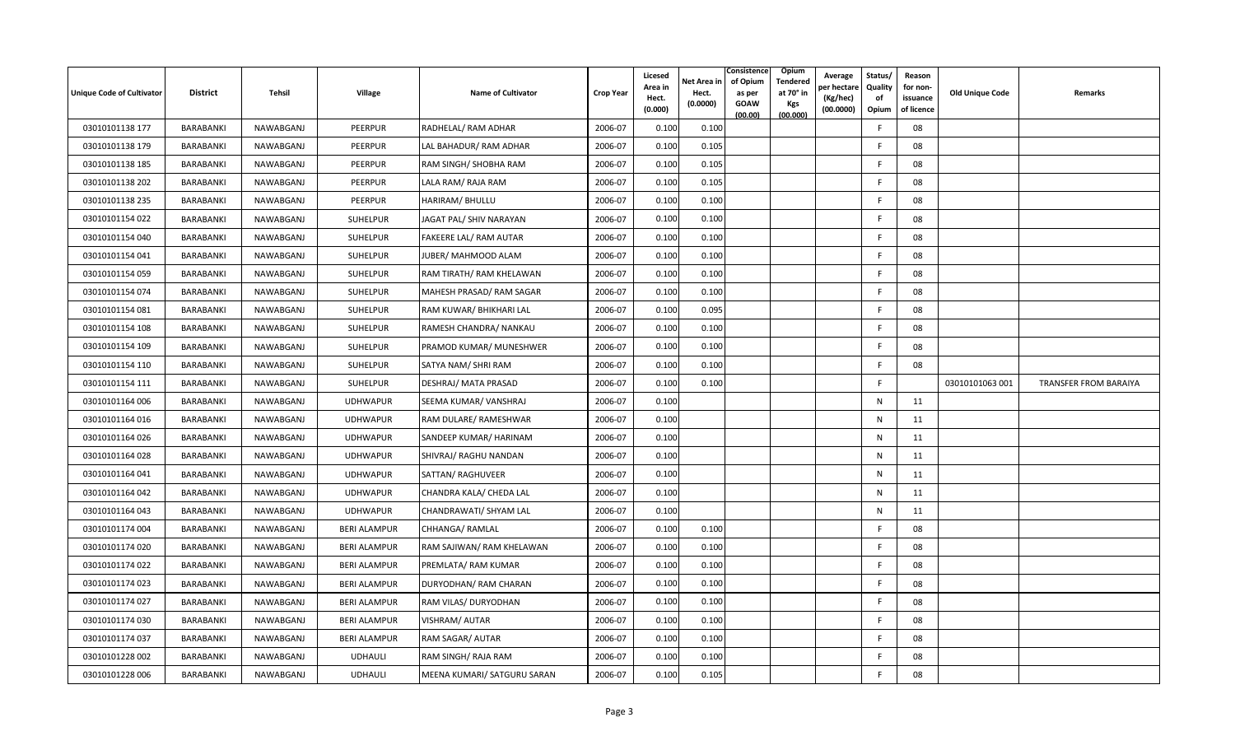| <b>Unique Code of Cultivator</b> | <b>District</b> | Tehsil    | Village             | <b>Name of Cultivator</b>   | <b>Crop Year</b> | Licesed<br>Area in<br>Hect.<br>(0.000) | Consistence<br>of Opium<br>Net Area in<br>Hect.<br>as per<br>(0.0000)<br><b>GOAW</b><br>(00.00) | Opium<br><b>Tendered</b><br>at 70° in<br><b>Kgs</b><br>(00.000) | Average<br>er hectare)<br>(Kg/hec)<br>(00.0000) | Status/<br>Quality<br>of<br>Opium | Reason<br>for non-<br>issuance<br>of licence | <b>Old Unique Code</b> | Remarks                      |
|----------------------------------|-----------------|-----------|---------------------|-----------------------------|------------------|----------------------------------------|-------------------------------------------------------------------------------------------------|-----------------------------------------------------------------|-------------------------------------------------|-----------------------------------|----------------------------------------------|------------------------|------------------------------|
| 03010101138 177                  | BARABANKI       | NAWABGANJ | PEERPUR             | RADHELAL/ RAM ADHAR         | 2006-07          | 0.100                                  | 0.100                                                                                           |                                                                 |                                                 | E                                 | 08                                           |                        |                              |
| 03010101138 179                  | BARABANKI       | NAWABGANJ | PEERPUR             | LAL BAHADUR/ RAM ADHAR      | 2006-07          | 0.100                                  | 0.105                                                                                           |                                                                 |                                                 | -F                                | 08                                           |                        |                              |
| 03010101138 185                  | BARABANKI       | NAWABGANJ | PEERPUR             | RAM SINGH/ SHOBHA RAM       | 2006-07          | 0.100                                  | 0.105                                                                                           |                                                                 |                                                 | E                                 | 08                                           |                        |                              |
| 03010101138 202                  | BARABANKI       | NAWABGANJ | PEERPUR             | LALA RAM/ RAJA RAM          | 2006-07          | 0.100                                  | 0.105                                                                                           |                                                                 |                                                 | F                                 | 08                                           |                        |                              |
| 03010101138 235                  | BARABANKI       | NAWABGANJ | PEERPUR             | HARIRAM/ BHULLU             | 2006-07          | 0.100                                  | 0.100                                                                                           |                                                                 |                                                 | F                                 | 08                                           |                        |                              |
| 03010101154 022                  | BARABANKI       | NAWABGANJ | SUHELPUR            | JAGAT PAL/ SHIV NARAYAN     | 2006-07          | 0.100                                  | 0.100                                                                                           |                                                                 |                                                 | F                                 | 08                                           |                        |                              |
| 03010101154 040                  | BARABANKI       | NAWABGANJ | SUHELPUR            | FAKEERE LAL/ RAM AUTAR      | 2006-07          | 0.100                                  | 0.100                                                                                           |                                                                 |                                                 | F.                                | 08                                           |                        |                              |
| 03010101154 041                  | BARABANKI       | NAWABGANJ | SUHELPUR            | JUBER/ MAHMOOD ALAM         | 2006-07          | 0.100                                  | 0.100                                                                                           |                                                                 |                                                 | -F                                | 08                                           |                        |                              |
| 03010101154 059                  | BARABANKI       | NAWABGANJ | SUHELPUR            | RAM TIRATH/ RAM KHELAWAN    | 2006-07          | 0.100                                  | 0.100                                                                                           |                                                                 |                                                 | -F                                | 08                                           |                        |                              |
| 03010101154 074                  | BARABANKI       | NAWABGANJ | SUHELPUR            | MAHESH PRASAD/ RAM SAGAR    | 2006-07          | 0.100                                  | 0.100                                                                                           |                                                                 |                                                 | F                                 | 08                                           |                        |                              |
| 03010101154 081                  | BARABANKI       | NAWABGANJ | <b>SUHELPUR</b>     | RAM KUWAR/ BHIKHARI LAL     | 2006-07          | 0.100                                  | 0.095                                                                                           |                                                                 |                                                 | -F                                | 08                                           |                        |                              |
| 03010101154 108                  | BARABANKI       | NAWABGANJ | SUHELPUR            | RAMESH CHANDRA/ NANKAU      | 2006-07          | 0.100                                  | 0.100                                                                                           |                                                                 |                                                 | F                                 | 08                                           |                        |                              |
| 03010101154 109                  | BARABANKI       | NAWABGANJ | <b>SUHELPUR</b>     | PRAMOD KUMAR/ MUNESHWER     | 2006-07          | 0.100                                  | 0.100                                                                                           |                                                                 |                                                 | F                                 | 08                                           |                        |                              |
| 03010101154 110                  | BARABANKI       | NAWABGANJ | SUHELPUR            | SATYA NAM/ SHRI RAM         | 2006-07          | 0.100                                  | 0.100                                                                                           |                                                                 |                                                 | -F                                | 08                                           |                        |                              |
| 03010101154 111                  | BARABANKI       | NAWABGANJ | SUHELPUR            | DESHRAJ/ MATA PRASAD        | 2006-07          | 0.100                                  | 0.100                                                                                           |                                                                 |                                                 | F                                 |                                              | 03010101063 001        | <b>TRANSFER FROM BARAIYA</b> |
| 03010101164 006                  | BARABANKI       | NAWABGANJ | <b>UDHWAPUR</b>     | SEEMA KUMAR/ VANSHRAJ       | 2006-07          | 0.100                                  |                                                                                                 |                                                                 |                                                 | N                                 | 11                                           |                        |                              |
| 03010101164 016                  | BARABANKI       | NAWABGANJ | <b>UDHWAPUR</b>     | RAM DULARE/ RAMESHWAR       | 2006-07          | 0.100                                  |                                                                                                 |                                                                 |                                                 | ${\sf N}$                         | 11                                           |                        |                              |
| 03010101164 026                  | BARABANKI       | NAWABGANJ | <b>UDHWAPUR</b>     | SANDEEP KUMAR/ HARINAM      | 2006-07          | 0.100                                  |                                                                                                 |                                                                 |                                                 | N                                 | 11                                           |                        |                              |
| 03010101164 028                  | BARABANKI       | NAWABGANJ | <b>UDHWAPUR</b>     | SHIVRAJ/ RAGHU NANDAN       | 2006-07          | 0.100                                  |                                                                                                 |                                                                 |                                                 | N                                 | 11                                           |                        |                              |
| 03010101164 041                  | BARABANKI       | NAWABGANJ | <b>UDHWAPUR</b>     | SATTAN/RAGHUVEER            | 2006-07          | 0.100                                  |                                                                                                 |                                                                 |                                                 | N                                 | 11                                           |                        |                              |
| 03010101164 042                  | BARABANKI       | NAWABGANJ | <b>UDHWAPUR</b>     | CHANDRA KALA/ CHEDA LAL     | 2006-07          | 0.100                                  |                                                                                                 |                                                                 |                                                 | N                                 | 11                                           |                        |                              |
| 03010101164 043                  | BARABANKI       | NAWABGANJ | <b>UDHWAPUR</b>     | CHANDRAWATI/ SHYAM LAL      | 2006-07          | 0.100                                  |                                                                                                 |                                                                 |                                                 | N                                 | 11                                           |                        |                              |
| 03010101174 004                  | BARABANKI       | NAWABGANJ | <b>BERI ALAMPUR</b> | CHHANGA/RAMLAL              | 2006-07          | 0.100                                  | 0.100                                                                                           |                                                                 |                                                 | -F                                | 08                                           |                        |                              |
| 03010101174 020                  | BARABANKI       | NAWABGANJ | <b>BERI ALAMPUR</b> | RAM SAJIWAN/ RAM KHELAWAN   | 2006-07          | 0.100                                  | 0.100                                                                                           |                                                                 |                                                 | -F                                | 08                                           |                        |                              |
| 03010101174 022                  | BARABANKI       | NAWABGANJ | <b>BERI ALAMPUR</b> | PREMLATA/ RAM KUMAR         | 2006-07          | 0.100                                  | 0.100                                                                                           |                                                                 |                                                 | E                                 | 08                                           |                        |                              |
| 03010101174 023                  | BARABANKI       | NAWABGANJ | <b>BERI ALAMPUR</b> | DURYODHAN/ RAM CHARAN       | 2006-07          | 0.100                                  | 0.100                                                                                           |                                                                 |                                                 | F.                                | 08                                           |                        |                              |
| 03010101174 027                  | BARABANKI       | NAWABGANJ | <b>BERI ALAMPUR</b> | RAM VILAS/ DURYODHAN        | 2006-07          | 0.100                                  | 0.100                                                                                           |                                                                 |                                                 | F                                 | 08                                           |                        |                              |
| 03010101174 030                  | BARABANKI       | NAWABGANJ | <b>BERI ALAMPUR</b> | VISHRAM/ AUTAR              | 2006-07          | 0.100                                  | 0.100                                                                                           |                                                                 |                                                 | -F                                | 08                                           |                        |                              |
| 03010101174 037                  | BARABANKI       | NAWABGANJ | <b>BERI ALAMPUR</b> | RAM SAGAR/ AUTAR            | 2006-07          | 0.100                                  | 0.100                                                                                           |                                                                 |                                                 | -F                                | 08                                           |                        |                              |
| 03010101228 002                  | BARABANKI       | NAWABGANJ | <b>UDHAULI</b>      | RAM SINGH/RAJA RAM          | 2006-07          | 0.100                                  | 0.100                                                                                           |                                                                 |                                                 | F                                 | 08                                           |                        |                              |
| 03010101228 006                  | BARABANKI       | NAWABGANJ | <b>UDHAULI</b>      | MEENA KUMARI/ SATGURU SARAN | 2006-07          | 0.100                                  | 0.105                                                                                           |                                                                 |                                                 | F                                 | 08                                           |                        |                              |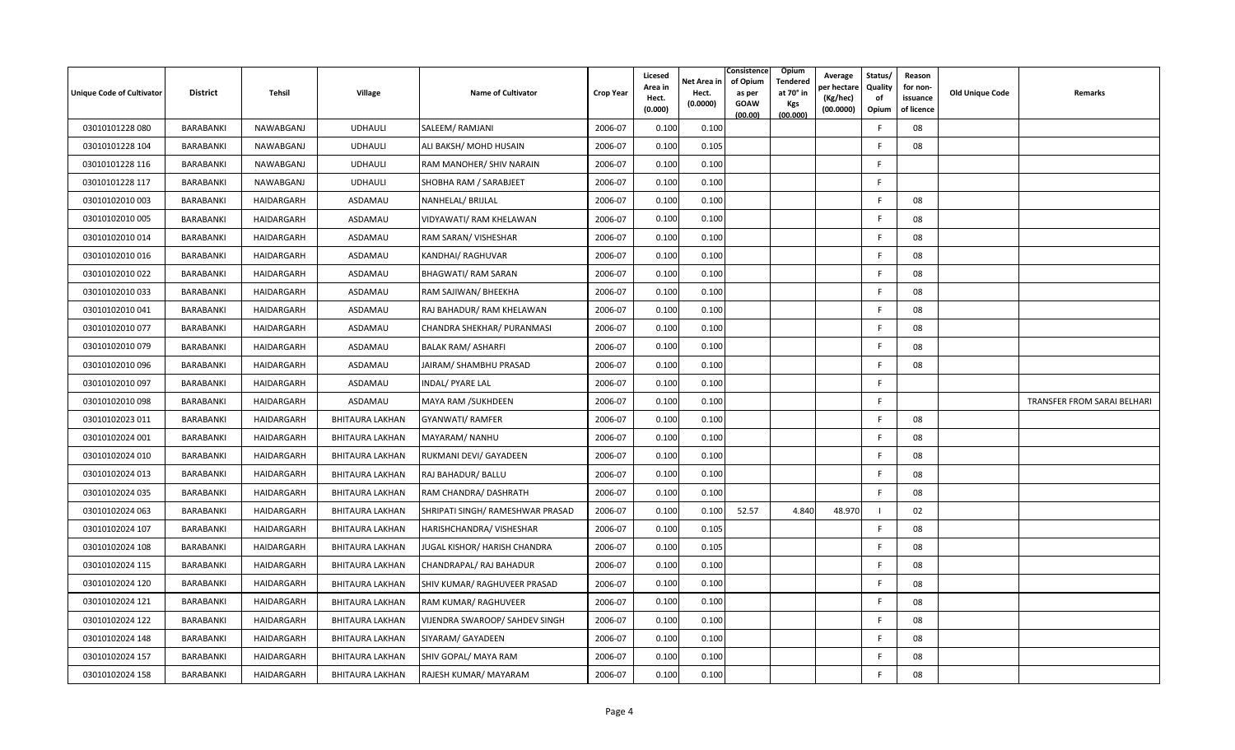| <b>Unique Code of Cultivator</b> | <b>District</b>  | Tehsil     | <b>Village</b>         | <b>Name of Cultivator</b>        | <b>Crop Year</b> | Licesed<br>Area in<br>Hect.<br>(0.000) | Net Area in<br>Hect.<br>(0.0000) | Consistence<br>of Opium<br>as per<br><b>GOAW</b><br>(00.00) | Opium<br>Tendered<br>at 70° in<br><b>Kgs</b><br>(00.000) | Average<br>er hectare)<br>(Kg/hec)<br>(00.0000) | Status/<br><b>Quality</b><br>of<br>Opium | Reason<br>for non-<br>issuance<br>of licence | <b>Old Unique Code</b> | Remarks                     |
|----------------------------------|------------------|------------|------------------------|----------------------------------|------------------|----------------------------------------|----------------------------------|-------------------------------------------------------------|----------------------------------------------------------|-------------------------------------------------|------------------------------------------|----------------------------------------------|------------------------|-----------------------------|
| 03010101228 080                  | BARABANKI        | NAWABGANJ  | <b>UDHAULI</b>         | SALEEM/ RAMJANI                  | 2006-07          | 0.100                                  | 0.100                            |                                                             |                                                          |                                                 | E                                        | 08                                           |                        |                             |
| 03010101228 104                  | BARABANKI        | NAWABGANJ  | <b>UDHAULI</b>         | ALI BAKSH/ MOHD HUSAIN           | 2006-07          | 0.100                                  | 0.105                            |                                                             |                                                          |                                                 | E                                        | 08                                           |                        |                             |
| 03010101228 116                  | BARABANKI        | NAWABGANJ  | <b>UDHAULI</b>         | RAM MANOHER/ SHIV NARAIN         | 2006-07          | 0.100                                  | 0.100                            |                                                             |                                                          |                                                 | F.                                       |                                              |                        |                             |
| 03010101228 117                  | BARABANKI        | NAWABGANJ  | <b>UDHAULI</b>         | SHOBHA RAM / SARABJEET           | 2006-07          | 0.100                                  | 0.100                            |                                                             |                                                          |                                                 | -F                                       |                                              |                        |                             |
| 03010102010 003                  | BARABANKI        | HAIDARGARH | ASDAMAU                | NANHELAL/ BRIJLAL                | 2006-07          | 0.100                                  | 0.100                            |                                                             |                                                          |                                                 | F                                        | 08                                           |                        |                             |
| 03010102010 005                  | BARABANKI        | HAIDARGARH | ASDAMAU                | VIDYAWATI/ RAM KHELAWAN          | 2006-07          | 0.100                                  | 0.100                            |                                                             |                                                          |                                                 | E                                        | 08                                           |                        |                             |
| 03010102010014                   | BARABANKI        | HAIDARGARH | ASDAMAU                | RAM SARAN/ VISHESHAR             | 2006-07          | 0.100                                  | 0.100                            |                                                             |                                                          |                                                 | -F                                       | 08                                           |                        |                             |
| 03010102010016                   | BARABANKI        | HAIDARGARH | ASDAMAU                | KANDHAI/ RAGHUVAR                | 2006-07          | 0.100                                  | 0.100                            |                                                             |                                                          |                                                 | E                                        | 08                                           |                        |                             |
| 03010102010 022                  | BARABANKI        | HAIDARGARH | ASDAMAU                | BHAGWATI/ RAM SARAN              | 2006-07          | 0.100                                  | 0.100                            |                                                             |                                                          |                                                 | -F                                       | 08                                           |                        |                             |
| 03010102010 033                  | BARABANKI        | HAIDARGARH | ASDAMAU                | RAM SAJIWAN/ BHEEKHA             | 2006-07          | 0.100                                  | 0.100                            |                                                             |                                                          |                                                 | F                                        | 08                                           |                        |                             |
| 03010102010041                   | BARABANKI        | HAIDARGARH | ASDAMAU                | RAJ BAHADUR/ RAM KHELAWAN        | 2006-07          | 0.100                                  | 0.100                            |                                                             |                                                          |                                                 | -F                                       | 08                                           |                        |                             |
| 03010102010 077                  | BARABANKI        | HAIDARGARH | ASDAMAU                | CHANDRA SHEKHAR/ PURANMASI       | 2006-07          | 0.100                                  | 0.100                            |                                                             |                                                          |                                                 | E                                        | 08                                           |                        |                             |
| 03010102010 079                  | BARABANKI        | HAIDARGARH | ASDAMAU                | <b>BALAK RAM/ ASHARFI</b>        | 2006-07          | 0.100                                  | 0.100                            |                                                             |                                                          |                                                 | E                                        | 08                                           |                        |                             |
| 03010102010 096                  | BARABANKI        | HAIDARGARH | ASDAMAU                | JAIRAM/ SHAMBHU PRASAD           | 2006-07          | 0.100                                  | 0.100                            |                                                             |                                                          |                                                 | F                                        | 08                                           |                        |                             |
| 03010102010 097                  | BARABANKI        | HAIDARGARH | ASDAMAU                | INDAL/ PYARE LAL                 | 2006-07          | 0.100                                  | 0.100                            |                                                             |                                                          |                                                 | F.                                       |                                              |                        |                             |
| 03010102010098                   | BARABANKI        | HAIDARGARH | ASDAMAU                | MAYA RAM / SUKHDEEN              | 2006-07          | 0.100                                  | 0.100                            |                                                             |                                                          |                                                 | F.                                       |                                              |                        | TRANSFER FROM SARAI BELHARI |
| 03010102023 011                  | BARABANKI        | HAIDARGARH | <b>BHITAURA LAKHAN</b> | <b>GYANWATI/ RAMFER</b>          | 2006-07          | 0.100                                  | 0.100                            |                                                             |                                                          |                                                 | E                                        | 08                                           |                        |                             |
| 03010102024 001                  | BARABANKI        | HAIDARGARH | BHITAURA LAKHAN        | MAYARAM/ NANHU                   | 2006-07          | 0.100                                  | 0.100                            |                                                             |                                                          |                                                 | F                                        | 08                                           |                        |                             |
| 03010102024 010                  | BARABANKI        | HAIDARGARH | <b>BHITAURA LAKHAN</b> | RUKMANI DEVI/ GAYADEEN           | 2006-07          | 0.100                                  | 0.100                            |                                                             |                                                          |                                                 | -F                                       | 08                                           |                        |                             |
| 03010102024 013                  | <b>BARABANKI</b> | HAIDARGARH | BHITAURA LAKHAN        | RAJ BAHADUR/ BALLU               | 2006-07          | 0.100                                  | 0.100                            |                                                             |                                                          |                                                 | E                                        | 08                                           |                        |                             |
| 03010102024 035                  | BARABANKI        | HAIDARGARH | <b>BHITAURA LAKHAN</b> | RAM CHANDRA/ DASHRATH            | 2006-07          | 0.100                                  | 0.100                            |                                                             |                                                          |                                                 | -F                                       | 08                                           |                        |                             |
| 03010102024 063                  | BARABANKI        | HAIDARGARH | <b>BHITAURA LAKHAN</b> | SHRIPATI SINGH/ RAMESHWAR PRASAD | 2006-07          | 0.100                                  | 0.100                            | 52.57                                                       | 4.840                                                    | 48.970                                          |                                          | 02                                           |                        |                             |
| 03010102024 107                  | BARABANKI        | HAIDARGARH | BHITAURA LAKHAN        | HARISHCHANDRA/ VISHESHAR         | 2006-07          | 0.100                                  | 0.105                            |                                                             |                                                          |                                                 | E                                        | 08                                           |                        |                             |
| 03010102024 108                  | BARABANKI        | HAIDARGARH | <b>BHITAURA LAKHAN</b> | JUGAL KISHOR/ HARISH CHANDRA     | 2006-07          | 0.100                                  | 0.105                            |                                                             |                                                          |                                                 | -F                                       | 08                                           |                        |                             |
| 03010102024 115                  | <b>BARABANKI</b> | HAIDARGARH | <b>BHITAURA LAKHAN</b> | CHANDRAPAL/ RAJ BAHADUR          | 2006-07          | 0.100                                  | 0.100                            |                                                             |                                                          |                                                 | E                                        | 08                                           |                        |                             |
| 03010102024 120                  | BARABANKI        | HAIDARGARH | <b>BHITAURA LAKHAN</b> | SHIV KUMAR/ RAGHUVEER PRASAD     | 2006-07          | 0.100                                  | 0.100                            |                                                             |                                                          |                                                 | F.                                       | 08                                           |                        |                             |
| 03010102024 121                  | BARABANKI        | HAIDARGARH | <b>BHITAURA LAKHAN</b> | RAM KUMAR/ RAGHUVEER             | 2006-07          | 0.100                                  | 0.100                            |                                                             |                                                          |                                                 | F                                        | 08                                           |                        |                             |
| 03010102024 122                  | BARABANKI        | HAIDARGARH | BHITAURA LAKHAN        | VIJENDRA SWAROOP/ SAHDEV SINGH   | 2006-07          | 0.100                                  | 0.100                            |                                                             |                                                          |                                                 | F                                        | 08                                           |                        |                             |
| 03010102024 148                  | BARABANKI        | HAIDARGARH | BHITAURA LAKHAN        | SIYARAM/ GAYADEEN                | 2006-07          | 0.100                                  | 0.100                            |                                                             |                                                          |                                                 | -F                                       | 08                                           |                        |                             |
| 03010102024 157                  | <b>BARABANKI</b> | HAIDARGARH | BHITAURA LAKHAN        | SHIV GOPAL/ MAYA RAM             | 2006-07          | 0.100                                  | 0.100                            |                                                             |                                                          |                                                 | E                                        | 08                                           |                        |                             |
| 03010102024 158                  | BARABANKI        | HAIDARGARH | <b>BHITAURA LAKHAN</b> | RAJESH KUMAR/MAYARAM             | 2006-07          | 0.100                                  | 0.100                            |                                                             |                                                          |                                                 | F.                                       | 08                                           |                        |                             |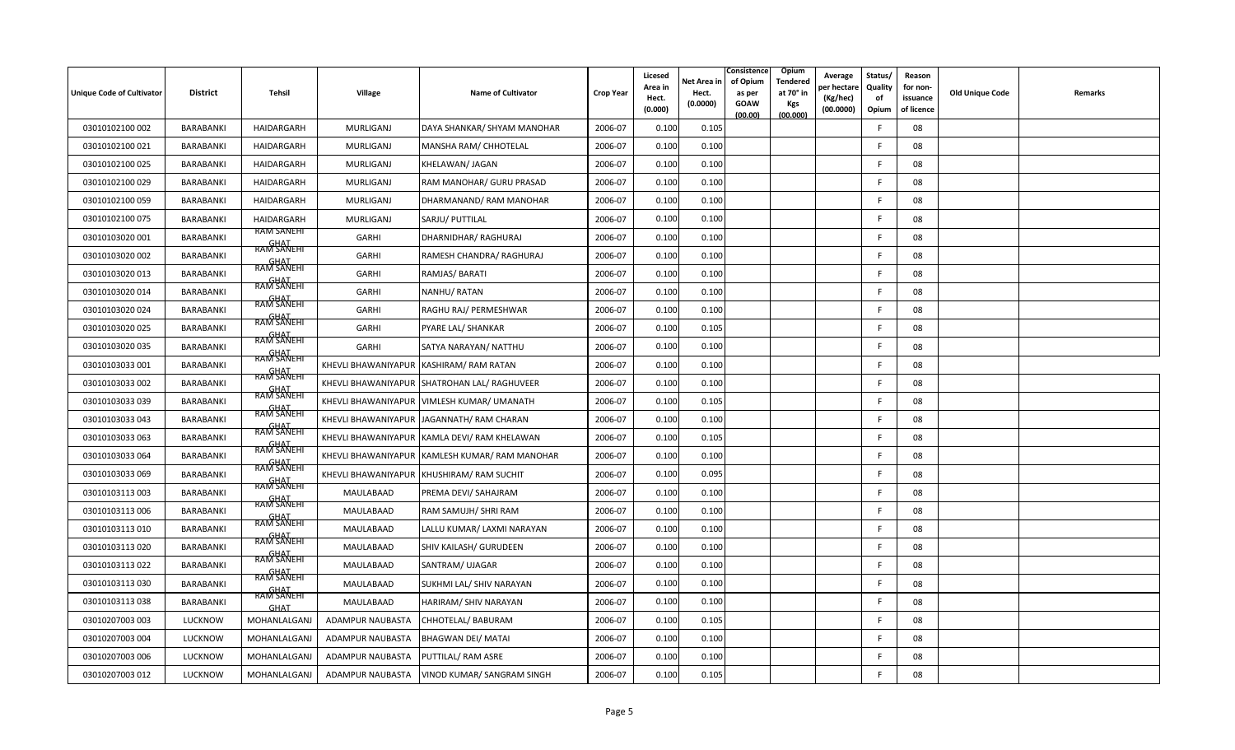| <b>Unique Code of Cultivator</b> | <b>District</b>  | Tehsil                           | <b>Village</b>      | <b>Name of Cultivator</b>                    | <b>Crop Year</b> | Licesed<br>Area in<br>Hect.<br>(0.000) | Net Area in<br>Hect.<br>(0.0000) | Consistence<br>of Opium<br>as per<br><b>GOAW</b><br>(00.00) | Opium<br>Tendered<br>at 70° in<br><b>Kgs</b><br>(00.000) | Average<br>er hectar<br>(Kg/hec)<br>(00.0000) | Status/<br>Quality<br>of<br>Opium | Reason<br>for non-<br>issuance<br>of licence | <b>Old Unique Code</b> | Remarks |
|----------------------------------|------------------|----------------------------------|---------------------|----------------------------------------------|------------------|----------------------------------------|----------------------------------|-------------------------------------------------------------|----------------------------------------------------------|-----------------------------------------------|-----------------------------------|----------------------------------------------|------------------------|---------|
| 03010102100 002                  | <b>BARABANKI</b> | HAIDARGARH                       | <b>MURLIGANJ</b>    | DAYA SHANKAR/ SHYAM MANOHAR                  | 2006-07          | 0.100                                  | 0.105                            |                                                             |                                                          |                                               | E                                 | 08                                           |                        |         |
| 03010102100 021                  | BARABANKI        | HAIDARGARH                       | MURLIGANJ           | MANSHA RAM/ CHHOTELAL                        | 2006-07          | 0.100                                  | 0.100                            |                                                             |                                                          |                                               | E                                 | 08                                           |                        |         |
| 03010102100 025                  | BARABANKI        | HAIDARGARH                       | MURLIGANJ           | KHELAWAN/ JAGAN                              | 2006-07          | 0.100                                  | 0.100                            |                                                             |                                                          |                                               | -F                                | 08                                           |                        |         |
| 03010102100 029                  | BARABANKI        | HAIDARGARH                       | MURLIGANJ           | RAM MANOHAR/ GURU PRASAD                     | 2006-07          | 0.100                                  | 0.100                            |                                                             |                                                          |                                               | -F                                | 08                                           |                        |         |
| 03010102100 059                  | BARABANKI        | HAIDARGARH                       | <b>MURLIGANJ</b>    | DHARMANAND/RAM MANOHAR                       | 2006-07          | 0.100                                  | 0.100                            |                                                             |                                                          |                                               | E                                 | 08                                           |                        |         |
| 03010102100 075                  | <b>BARABANKI</b> | HAIDARGARH                       | MURLIGANJ           | SARJU/ PUTTILAL                              | 2006-07          | 0.100                                  | 0.100                            |                                                             |                                                          |                                               | F.                                | 08                                           |                        |         |
| 03010103020 001                  | BARABANKI        | RAM SANEHI<br><b>RAM SANEHI</b>  | GARHI               | DHARNIDHAR/ RAGHURAJ                         | 2006-07          | 0.100                                  | 0.100                            |                                                             |                                                          |                                               | F.                                | 08                                           |                        |         |
| 03010103020 002                  | BARABANKI        | <b>GHAT</b><br>RAM SANEHI        | GARHI               | RAMESH CHANDRA/ RAGHURAJ                     | 2006-07          | 0.100                                  | 0.100                            |                                                             |                                                          |                                               | F.                                | 08                                           |                        |         |
| 03010103020 013                  | BARABANKI        | <b>GHAT</b><br>RAM SANEHI        | GARHI               | RAMJAS/BARATI                                | 2006-07          | 0.100                                  | 0.100                            |                                                             |                                                          |                                               | F.                                | 08                                           |                        |         |
| 03010103020 014                  | BARABANKI        | <b>GHAT</b><br>RAM SANEHI        | GARHI               | NANHU/RATAN                                  | 2006-07          | 0.100                                  | 0.100                            |                                                             |                                                          |                                               | E                                 | 08                                           |                        |         |
| 03010103020024                   | BARABANKI        | <b>GHAT</b><br>RAM SANEHI        | GARHI               | RAGHU RAJ/ PERMESHWAR                        | 2006-07          | 0.100                                  | 0.100                            |                                                             |                                                          |                                               | -F                                | 08                                           |                        |         |
| 03010103020 025                  | BARABANKI        | <b>GHAT</b><br>RAM SANEHT        | <b>GARHI</b>        | PYARE LAL/ SHANKAR                           | 2006-07          | 0.100                                  | 0.105                            |                                                             |                                                          |                                               | F.                                | 08                                           |                        |         |
| 03010103020 035                  | BARABANKI        | GHAT<br>RAM SANEHI               | <b>GARHI</b>        | SATYA NARAYAN/ NATTHU                        | 2006-07          | 0.100                                  | 0.100                            |                                                             |                                                          |                                               | F.                                | 08                                           |                        |         |
| 03010103033 001                  | BARABANKI        |                                  |                     | KHEVLI BHAWANIYAPUR KASHIRAM/RAM RATAN       | 2006-07          | 0.100                                  | 0.100                            |                                                             |                                                          |                                               | F.                                | 08                                           |                        |         |
| 03010103033 002                  | <b>BARABANKI</b> | GHAT<br>RAM SANEHI<br>RAM SANEHI |                     | KHEVLI BHAWANIYAPUR SHATROHAN LAL/ RAGHUVEER | 2006-07          | 0.100                                  | 0.100                            |                                                             |                                                          |                                               | E                                 | 08                                           |                        |         |
| 03010103033 039                  | BARABANKI        | <b>GHAT</b><br>RAM SANEHI        |                     | KHEVLI BHAWANIYAPUR   VIMLESH KUMAR/ UMANATH | 2006-07          | 0.100                                  | 0.105                            |                                                             |                                                          |                                               | E                                 | 08                                           |                        |         |
| 03010103033 043                  | BARABANKI        | <b>GHAT</b><br>RAM SANEHI        |                     | KHEVLI BHAWANIYAPUR JAGANNATH/ RAM CHARAN    | 2006-07          | 0.100                                  | 0.100                            |                                                             |                                                          |                                               | F.                                | 08                                           |                        |         |
| 03010103033 063                  | BARABANKI        | RAM SANEHI                       |                     | KHEVLI BHAWANIYAPUR KAMLA DEVI/RAM KHELAWAN  | 2006-07          | 0.100                                  | 0.105                            |                                                             |                                                          |                                               | -F                                | 08                                           |                        |         |
| 03010103033 064                  | BARABANKI        | <b>GHAT</b><br>RAM SANEHI        | KHEVLI BHAWANIYAPUR | KAMLESH KUMAR/RAM MANOHAR                    | 2006-07          | 0.100                                  | 0.100                            |                                                             |                                                          |                                               | -F                                | 08                                           |                        |         |
| 03010103033 069                  | BARABANKI        | <b>GHAT</b><br>RAM SANEHI        | KHEVLI BHAWANIYAPUR | KHUSHIRAM/RAM SUCHIT                         | 2006-07          | 0.100                                  | 0.095                            |                                                             |                                                          |                                               | F                                 | 08                                           |                        |         |
| 03010103113003                   | BARABANKI        | RAM SANEHT                       | MAULABAAD           | PREMA DEVI/ SAHAJRAM                         | 2006-07          | 0.100                                  | 0.100                            |                                                             |                                                          |                                               | E                                 | 08                                           |                        |         |
| 03010103113006                   | BARABANKI        | RAM SANEHI                       | MAULABAAD           | RAM SAMUJH/ SHRI RAM                         | 2006-07          | 0.100                                  | 0.100                            |                                                             |                                                          |                                               | F                                 | 08                                           |                        |         |
| 03010103113010                   | BARABANKI        | GHAT<br>RAM SANEHI               | MAULABAAD           | LALLU KUMAR/ LAXMI NARAYAN                   | 2006-07          | 0.100                                  | 0.100                            |                                                             |                                                          |                                               | E                                 | 08                                           |                        |         |
| 03010103113020                   | <b>BARABANKI</b> | <b>GHAT</b><br>RAM SANEHI        | MAULABAAD           | SHIV KAILASH/ GURUDEEN                       | 2006-07          | 0.100                                  | 0.100                            |                                                             |                                                          |                                               | -F                                | 08                                           |                        |         |
| 03010103113022                   | BARABANKI        | <b>GHAT</b><br>RAM SANEHI        | MAULABAAD           | SANTRAM/ UJAGAR                              | 2006-07          | 0.100                                  | 0.100                            |                                                             |                                                          |                                               | F.                                | 08                                           |                        |         |
| 03010103113030                   | BARABANKI        | GHAT<br>RAM SANEHI               | MAULABAAD           | SUKHMI LAL/ SHIV NARAYAN                     | 2006-07          | 0.100                                  | 0.100                            |                                                             |                                                          |                                               | F.                                | 08                                           |                        |         |
| 03010103113038                   | BARABANKI        | <b>GHAT</b>                      | MAULABAAD           | HARIRAM/ SHIV NARAYAN                        | 2006-07          | 0.100                                  | 0.100                            |                                                             |                                                          |                                               | E                                 | 08                                           |                        |         |
| 03010207003 003                  | <b>LUCKNOW</b>   | MOHANLALGANJ                     | ADAMPUR NAUBASTA    | CHHOTELAL/ BABURAM                           | 2006-07          | 0.100                                  | 0.105                            |                                                             |                                                          |                                               | -F                                | 08                                           |                        |         |
| 03010207003 004                  | LUCKNOW          | MOHANLALGANJ                     | ADAMPUR NAUBASTA    | <b>BHAGWAN DEI/ MATAI</b>                    | 2006-07          | 0.100                                  | 0.100                            |                                                             |                                                          |                                               | F.                                | 08                                           |                        |         |
| 03010207003 006                  | <b>LUCKNOW</b>   | MOHANLALGANJ                     | ADAMPUR NAUBASTA    | PUTTILAL/ RAM ASRE                           | 2006-07          | 0.100                                  | 0.100                            |                                                             |                                                          |                                               | F                                 | 08                                           |                        |         |
| 03010207003 012                  | <b>LUCKNOW</b>   | MOHANLALGANJ                     | ADAMPUR NAUBASTA    | VINOD KUMAR/ SANGRAM SINGH                   | 2006-07          | 0.100                                  | 0.105                            |                                                             |                                                          |                                               | F                                 | 08                                           |                        |         |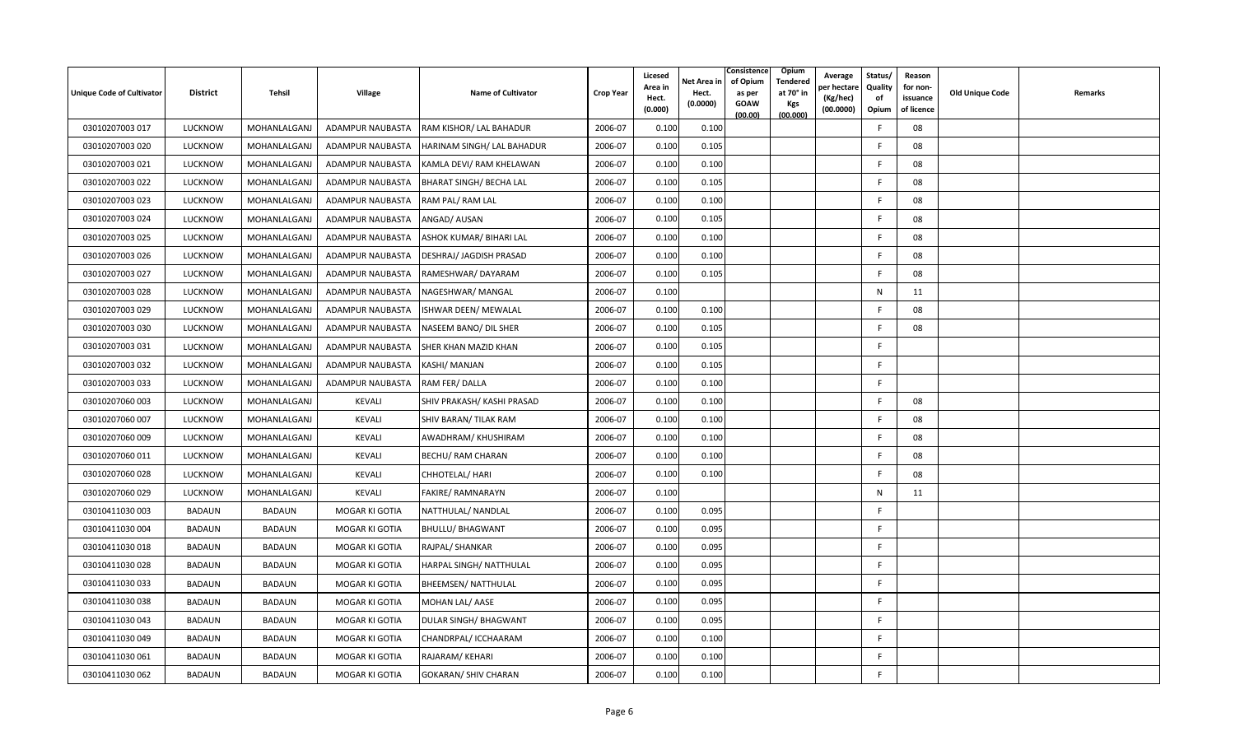| Unique Code of Cultivator | <b>District</b> | Tehsil        | Village               | <b>Name of Cultivator</b>    | <b>Crop Year</b> | Licesed<br>Area in<br>Hect.<br>(0.000) | Net Area in<br>Hect.<br>(0.0000) | Consistence<br>Opium<br>of Opium<br>Tendered<br>at 70° in<br>as per<br><b>GOAW</b><br>Kgs<br>(00.000)<br>(00.00) | Average<br>oer hectare<br>(Kg/hec)<br>(00.0000) | Status/<br>Quality<br>of<br>Opium | Reason<br>for non-<br>issuance<br>of licence | Old Unique Code | Remarks |
|---------------------------|-----------------|---------------|-----------------------|------------------------------|------------------|----------------------------------------|----------------------------------|------------------------------------------------------------------------------------------------------------------|-------------------------------------------------|-----------------------------------|----------------------------------------------|-----------------|---------|
| 03010207003 017           | <b>LUCKNOW</b>  | MOHANLALGANJ  | ADAMPUR NAUBASTA      | RAM KISHOR/ LAL BAHADUR      | 2006-07          | 0.100                                  | 0.100                            |                                                                                                                  |                                                 | F.                                | 08                                           |                 |         |
| 03010207003 020           | LUCKNOW         | MOHANLALGANJ  | ADAMPUR NAUBASTA      | HARINAM SINGH/ LAL BAHADUR   | 2006-07          | 0.100                                  | 0.105                            |                                                                                                                  |                                                 | F                                 | 08                                           |                 |         |
| 03010207003 021           | <b>LUCKNOW</b>  | MOHANLALGANJ  | ADAMPUR NAUBASTA      | KAMLA DEVI/ RAM KHELAWAN     | 2006-07          | 0.100                                  | 0.100                            |                                                                                                                  |                                                 | F.                                | 08                                           |                 |         |
| 03010207003 022           | <b>LUCKNOW</b>  | MOHANLALGANJ  | ADAMPUR NAUBASTA      | BHARAT SINGH/ BECHA LAL      | 2006-07          | 0.100                                  | 0.105                            |                                                                                                                  |                                                 | F                                 | 08                                           |                 |         |
| 03010207003 023           | <b>LUCKNOW</b>  | MOHANLALGANJ  | ADAMPUR NAUBASTA      | RAM PAL/RAM LAL              | 2006-07          | 0.100                                  | 0.100                            |                                                                                                                  |                                                 | -F                                | 08                                           |                 |         |
| 03010207003 024           | <b>LUCKNOW</b>  | MOHANLALGANJ  | ADAMPUR NAUBASTA      | ANGAD/ AUSAN                 | 2006-07          | 0.100                                  | 0.105                            |                                                                                                                  |                                                 | F.                                | 08                                           |                 |         |
| 03010207003 025           | <b>LUCKNOW</b>  | MOHANLALGANJ  | ADAMPUR NAUBASTA      | ASHOK KUMAR/ BIHARI LAL      | 2006-07          | 0.100                                  | 0.100                            |                                                                                                                  |                                                 | F                                 | 08                                           |                 |         |
| 03010207003 026           | <b>LUCKNOW</b>  | MOHANLALGANJ  | ADAMPUR NAUBASTA      | DESHRAJ/ JAGDISH PRASAD      | 2006-07          | 0.100                                  | 0.100                            |                                                                                                                  |                                                 | F.                                | 08                                           |                 |         |
| 03010207003 027           | <b>LUCKNOW</b>  | MOHANLALGANJ  | ADAMPUR NAUBASTA      | RAMESHWAR/DAYARAM            | 2006-07          | 0.100                                  | 0.105                            |                                                                                                                  |                                                 | F.                                | 08                                           |                 |         |
| 03010207003 028           | LUCKNOW         | MOHANLALGANJ  | ADAMPUR NAUBASTA      | NAGESHWAR/ MANGAL            | 2006-07          | 0.100                                  |                                  |                                                                                                                  |                                                 | $\mathsf{N}$                      | 11                                           |                 |         |
| 03010207003 029           | <b>LUCKNOW</b>  | MOHANLALGANJ  | ADAMPUR NAUBASTA      | ISHWAR DEEN/ MEWALAL         | 2006-07          | 0.100                                  | 0.100                            |                                                                                                                  |                                                 | F.                                | 08                                           |                 |         |
| 03010207003 030           | <b>LUCKNOW</b>  | MOHANLALGANJ  | ADAMPUR NAUBASTA      | NASEEM BANO/ DIL SHER        | 2006-07          | 0.100                                  | 0.105                            |                                                                                                                  |                                                 | F                                 | 08                                           |                 |         |
| 03010207003 031           | <b>LUCKNOW</b>  | MOHANLALGANJ  | ADAMPUR NAUBASTA      | SHER KHAN MAZID KHAN         | 2006-07          | 0.100                                  | 0.105                            |                                                                                                                  |                                                 | F                                 |                                              |                 |         |
| 03010207003 032           | <b>LUCKNOW</b>  | MOHANLALGANJ  | ADAMPUR NAUBASTA      | KASHI/ MANJAN                | 2006-07          | 0.100                                  | 0.105                            |                                                                                                                  |                                                 | F                                 |                                              |                 |         |
| 03010207003 033           | <b>LUCKNOW</b>  | MOHANLALGANJ  | ADAMPUR NAUBASTA      | RAM FER/DALLA                | 2006-07          | 0.100                                  | 0.100                            |                                                                                                                  |                                                 | F.                                |                                              |                 |         |
| 03010207060 003           | <b>LUCKNOW</b>  | MOHANLALGANJ  | <b>KEVALI</b>         | SHIV PRAKASH/ KASHI PRASAD   | 2006-07          | 0.100                                  | 0.100                            |                                                                                                                  |                                                 | F.                                | 08                                           |                 |         |
| 03010207060 007           | <b>LUCKNOW</b>  | MOHANLALGANJ  | KEVALI                | SHIV BARAN/ TILAK RAM        | 2006-07          | 0.100                                  | 0.100                            |                                                                                                                  |                                                 | F                                 | 08                                           |                 |         |
| 03010207060 009           | <b>LUCKNOW</b>  | MOHANLALGANJ  | KEVALI                | AWADHRAM/ KHUSHIRAM          | 2006-07          | 0.100                                  | 0.100                            |                                                                                                                  |                                                 | $\mathsf{F}$                      | 08                                           |                 |         |
| 03010207060 011           | <b>LUCKNOW</b>  | MOHANLALGANJ  | KEVALI                | BECHU/ RAM CHARAN            | 2006-07          | 0.100                                  | 0.100                            |                                                                                                                  |                                                 | -F                                | 08                                           |                 |         |
| 03010207060 028           | LUCKNOW         | MOHANLALGANJ  | KEVALI                | CHHOTELAL/ HARI              | 2006-07          | 0.100                                  | 0.100                            |                                                                                                                  |                                                 | F.                                | 08                                           |                 |         |
| 03010207060 029           | <b>LUCKNOW</b>  | MOHANLALGANJ  | KEVALI                | FAKIRE/ RAMNARAYN            | 2006-07          | 0.100                                  |                                  |                                                                                                                  |                                                 | N                                 | 11                                           |                 |         |
| 03010411030 003           | <b>BADAUN</b>   | <b>BADAUN</b> | MOGAR KI GOTIA        | NATTHULAL/ NANDLAL           | 2006-07          | 0.100                                  | 0.095                            |                                                                                                                  |                                                 | F.                                |                                              |                 |         |
| 03010411030 004           | <b>BADAUN</b>   | <b>BADAUN</b> | MOGAR KI GOTIA        | <b>BHULLU/ BHAGWANT</b>      | 2006-07          | 0.100                                  | 0.095                            |                                                                                                                  |                                                 | F                                 |                                              |                 |         |
| 03010411030 018           | BADAUN          | <b>BADAUN</b> | MOGAR KI GOTIA        | RAJPAL/ SHANKAR              | 2006-07          | 0.100                                  | 0.095                            |                                                                                                                  |                                                 | F.                                |                                              |                 |         |
| 03010411030 028           | <b>BADAUN</b>   | <b>BADAUN</b> | MOGAR KI GOTIA        | HARPAL SINGH/ NATTHULAL      | 2006-07          | 0.100                                  | 0.095                            |                                                                                                                  |                                                 | F                                 |                                              |                 |         |
| 03010411030033            | <b>BADAUN</b>   | <b>BADAUN</b> | MOGAR KI GOTIA        | <b>BHEEMSEN/ NATTHULAL</b>   | 2006-07          | 0.100                                  | 0.095                            |                                                                                                                  |                                                 | F                                 |                                              |                 |         |
| 03010411030 038           | <b>BADAUN</b>   | <b>BADAUN</b> | MOGAR KI GOTIA        | MOHAN LAL/ AASE              | 2006-07          | 0.100                                  | 0.095                            |                                                                                                                  |                                                 | E                                 |                                              |                 |         |
| 03010411030 043           | <b>BADAUN</b>   | <b>BADAUN</b> | MOGAR KI GOTIA        | <b>DULAR SINGH/ BHAGWANT</b> | 2006-07          | 0.100                                  | 0.095                            |                                                                                                                  |                                                 | F                                 |                                              |                 |         |
| 03010411030049            | BADAUN          | <b>BADAUN</b> | <b>MOGAR KI GOTIA</b> | CHANDRPAL/ ICCHAARAM         | 2006-07          | 0.100                                  | 0.100                            |                                                                                                                  |                                                 | F.                                |                                              |                 |         |
| 03010411030 061           | <b>BADAUN</b>   | <b>BADAUN</b> | MOGAR KI GOTIA        | RAJARAM/KEHARI               | 2006-07          | 0.100                                  | 0.100                            |                                                                                                                  |                                                 | F                                 |                                              |                 |         |
| 03010411030 062           | <b>BADAUN</b>   | <b>BADAUN</b> | MOGAR KI GOTIA        | <b>GOKARAN/ SHIV CHARAN</b>  | 2006-07          | 0.100                                  | 0.100                            |                                                                                                                  |                                                 | -F                                |                                              |                 |         |